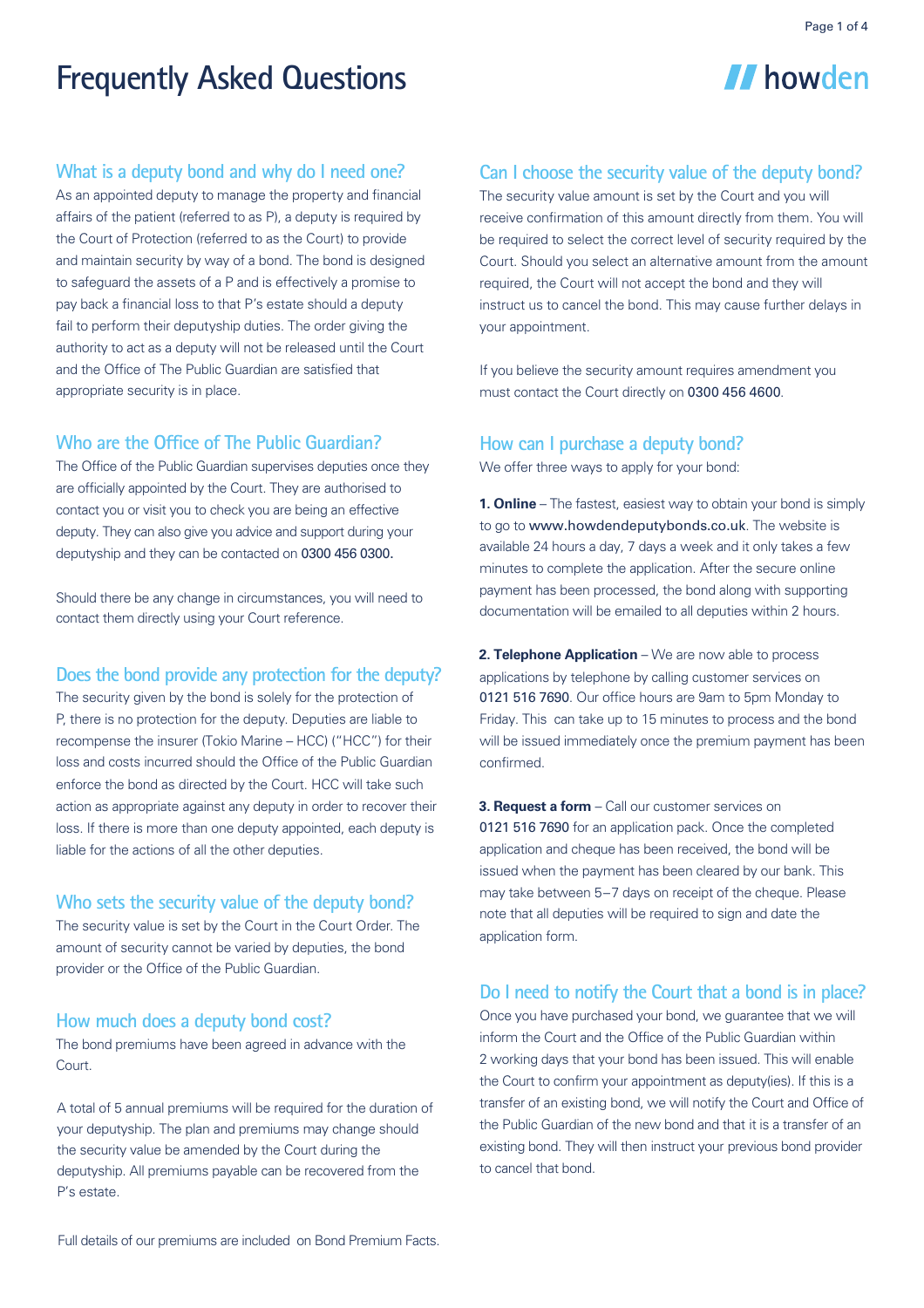II howden

# **Frequently Asked Questions**

## **What is a deputy bond and why do I need one?**

As an appointed deputy to manage the property and financial affairs of the patient (referred to as P), a deputy is required by the Court of Protection (referred to as the Court) to provide and maintain security by way of a bond. The bond is designed to safeguard the assets of a P and is effectively a promise to pay back a financial loss to that P's estate should a deputy fail to perform their deputyship duties. The order giving the authority to act as a deputy will not be released until the Court and the Office of The Public Guardian are satisfied that appropriate security is in place.

# **Who are the Office of The Public Guardian?**

The Office of the Public Guardian supervises deputies once they are officially appointed by the Court. They are authorised to contact you or visit you to check you are being an effective deputy. They can also give you advice and support during your deputyship and they can be contacted on 0300 456 0300.

Should there be any change in circumstances, you will need to contact them directly using your Court reference.

#### **Does the bond provide any protection for the deputy?**

The security given by the bond is solely for the protection of P, there is no protection for the deputy. Deputies are liable to recompense the insurer (Tokio Marine – HCC) ("HCC") for their loss and costs incurred should the Office of the Public Guardian enforce the bond as directed by the Court. HCC will take such action as appropriate against any deputy in order to recover their loss. If there is more than one deputy appointed, each deputy is liable for the actions of all the other deputies.

#### **Who sets the security value of the deputy bond?**

The security value is set by the Court in the Court Order. The amount of security cannot be varied by deputies, the bond provider or the Office of the Public Guardian.

#### **How much does a deputy bond cost?**

The bond premiums have been agreed in advance with the Court

A total of 5 annual premiums will be required for the duration of your deputyship. The plan and premiums may change should the security value be amended by the Court during the deputyship. All premiums payable can be recovered from the P's estate.

# **Can I choose the security value of the deputy bond?**

The security value amount is set by the Court and you will receive confirmation of this amount directly from them. You will be required to select the correct level of security required by the Court. Should you select an alternative amount from the amount required, the Court will not accept the bond and they will instruct us to cancel the bond. This may cause further delays in your appointment.

If you believe the security amount requires amendment you must contact the Court directly on 0300 456 4600.

#### **How can I purchase a deputy bond?**

We offer three ways to apply for your bond:

 **Online** – The fastest, easiest way to obtain your bond is simply to go to www.howdendeputybonds.co.uk. The website is available 24 hours a day, 7 days a week and it only takes a few minutes to complete the application. After the secure online payment has been processed, the bond along with supporting documentation will be emailed to all deputies within 2 hours.

 **Telephone Application** – We are now able to process applications by telephone by calling customer services on 0121 516 7690. Our office hours are 9am to 5pm Monday to Friday. This can take up to 15 minutes to process and the bond will be issued immediately once the premium payment has been confirmed.

**3. Request a form** – Call our customer services on 0121 516 7690 for an application pack. Once the completed application and cheque has been received, the bond will be issued when the payment has been cleared by our bank. This may take between 5-7 days on receipt of the cheque. Please note that all deputies will be required to sign and date the application form.

## **Do I need to notify the Court that a bond is in place?**

Once you have purchased your bond, we guarantee that we will inform the Court and the Office of the Public Guardian within 2 working days that your bond has been issued. This will enable the Court to confirm your appointment as deputy(ies). If this is a transfer of an existing bond, we will notify the Court and Office of the Public Guardian of the new bond and that it is a transfer of an existing bond. They will then instruct your previous bond provider to cancel that bond.

Full details of our premiums are included on Bond Premium Facts.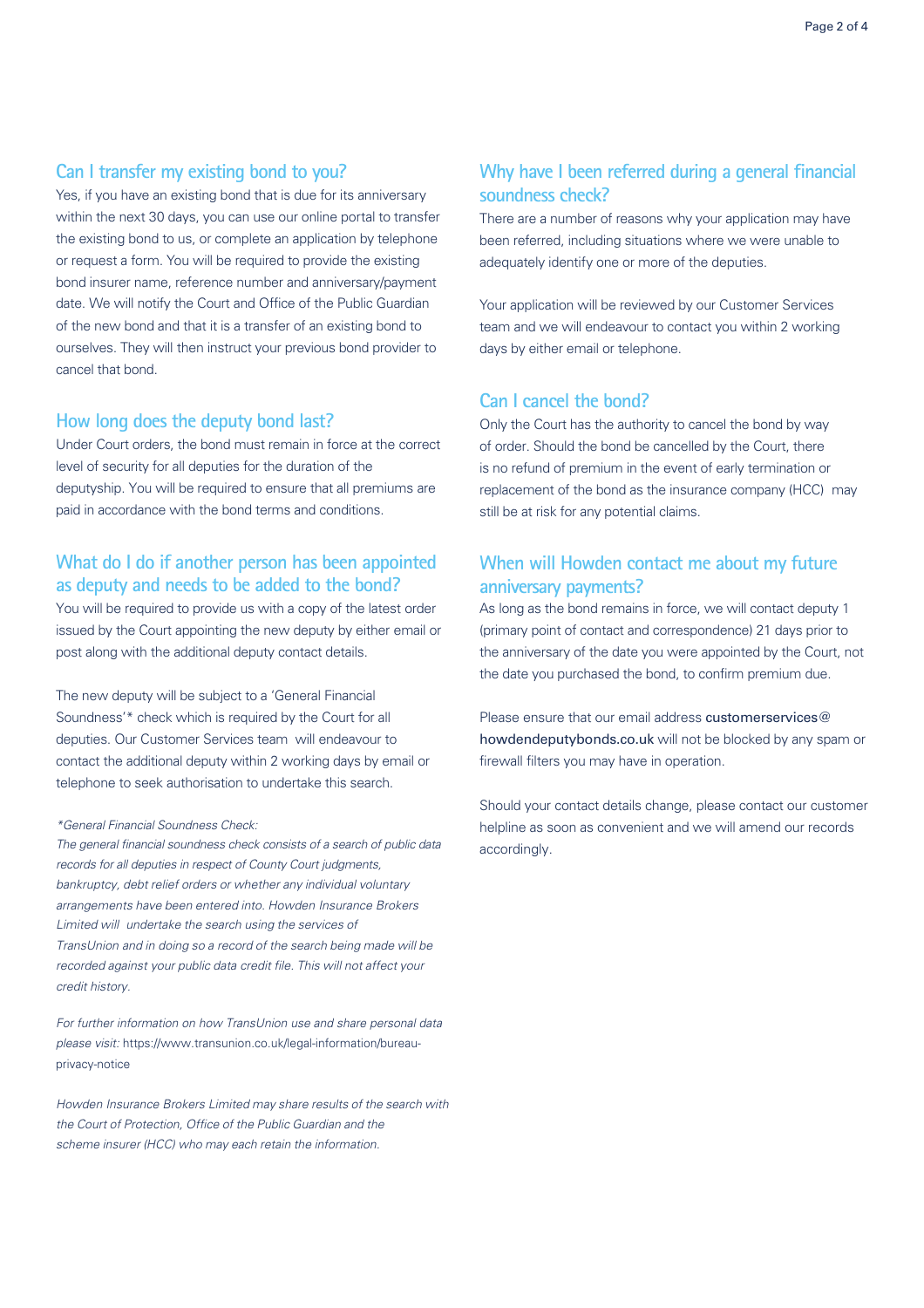#### **Can I transfer my existing bond to you?**

Yes, if you have an existing bond that is due for its anniversary within the next 30 days, you can use our online portal to transfer the existing bond to us, or complete an application by telephone or request a form. You will be required to provide the existing bond insurer name, reference number and anniversary/payment date. We will notify the Court and Office of the Public Guardian of the new bond and that it is a transfer of an existing bond to ourselves. They will then instruct your previous bond provider to cancel that bond.

#### **How long does the deputy bond last?**

Under Court orders, the bond must remain in force at the correct level of security for all deputies for the duration of the deputyship. You will be required to ensure that all premiums are paid in accordance with the bond terms and conditions.

# **What do I do if another person has been appointed as deputy and needs to be added to the bond?**

You will be required to provide us with a copy of the latest order issued by the Court appointing the new deputy by either email or post along with the additional deputy contact details.

The new deputy will be subject to a 'General Financial Soundness'\* check which is required by the Court for all deputies. Our Customer Services team will endeavour to contact the additional deputy within 2 working days by email or telephone to seek authorisation to undertake this search.

#### *\*General Financial Soundness Check:*

*The general financial soundness check consists of a search of public data records for all deputies in respect of County Court judgments, bankruptcy, debt relief orders or whether any individual voluntary arrangements have been entered into.* Howden Insurance Brokers Limited *will undertake the search using the services of* 5SBOT6OJPO*and in doing so a record of the search being made will be recorded against your public data credit file. This will not affect your credit history.*

For further information on how TransUnion use and share personal data please visit: https://www.transunion.co.uk/legal-information/bureauprivacy-notice

Howden Insurance Brokers Limited *may share results of the search with the Court of Protection, Office of the Public Guardian and the scheme insurer (HCC) who may each retain the information.* 

# **Why have I been referred during a general financial soundness check?**

There are a number of reasons why your application may have been referred, including situations where we were unable to adequately identify one or more of the deputies.

Your application will be reviewed by our Customer Services team and we will endeavour to contact you within 2 working days by either email or telephone.

# **Can I cancel the bond?**

Only the Court has the authority to cancel the bond by way of order. Should the bond be cancelled by the Court, there is no refund of premium in the event of early termination or replacement of the bond as the insurance company (HCC) may still be at risk for any potential claims.

# **When will Howden contact me about my future anniversary payments?**

As long as the bond remains in force, we will contact deputy 1 (primary point of contact and correspondence) 21 days prior to the anniversary of the date you were appointed by the Court, not the date you purchased the bond, to confirm premium due.

Please ensure that our email address customerservices  $@$ howdendeputybonds.co.uk will not be blocked by any spam or firewall filters you may have in operation.

Should your contact details change, please contact our customer helpline as soon as convenient and we will amend our records accordingly.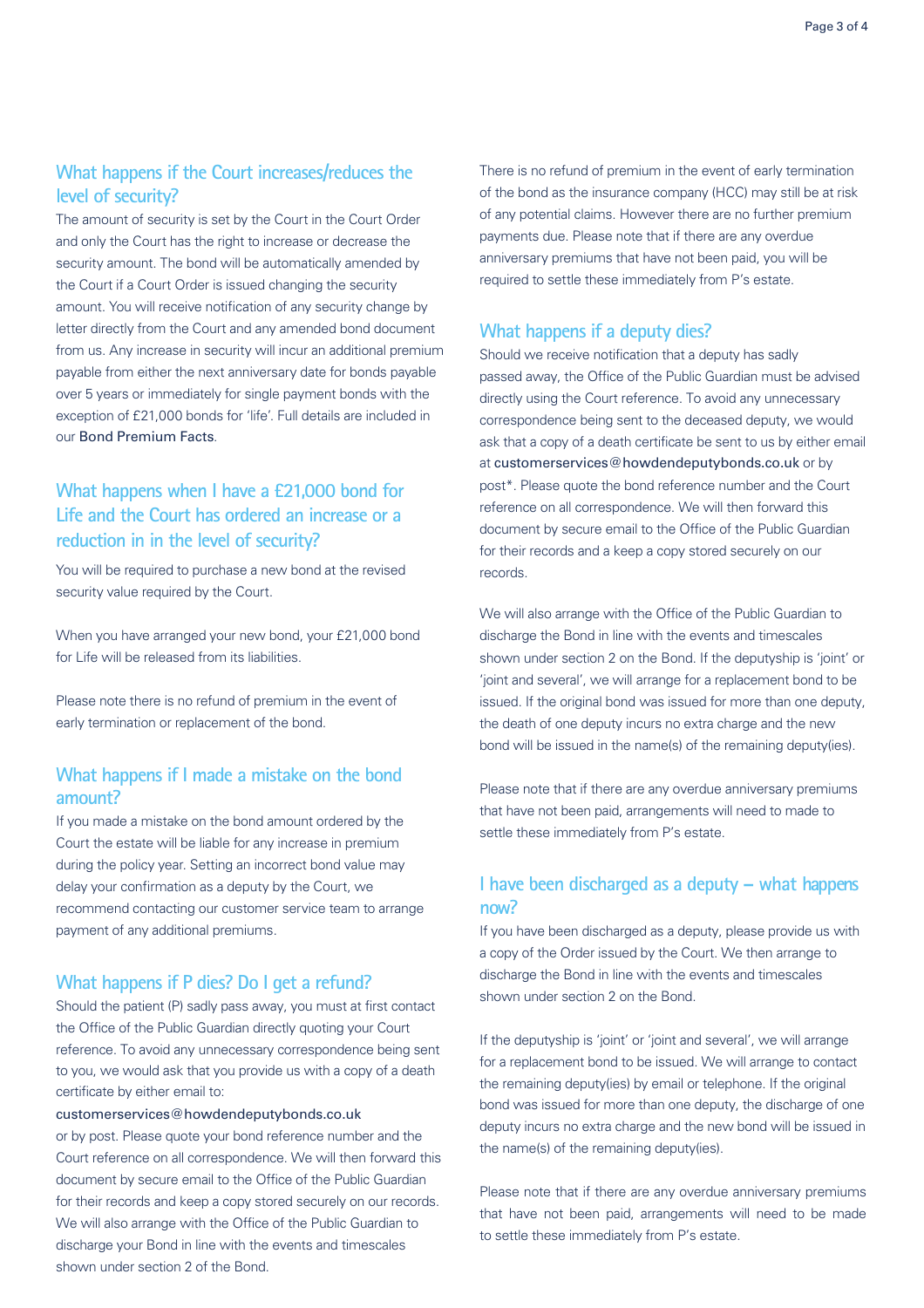# **What happens if the Court increases/reduces the level of security?**

The amount of security is set by the Court in the Court Order and only the Court has the right to increase or decrease the security amount. The bond will be automatically amended by the Court if a Court Order is issued changing the security amount. You will receive notification of any security change by letter directly from the Court and any amended bond document from us. Any increase in security will incur an additional premium payable from either the next anniversary date for bonds payable over 5 years or immediately for single payment bonds with the exception of £21,000 bonds for 'life'. Full details are included in our Bond Premium Facts.

# **What happens when I have a £21,000 bond for Life and the Court has ordered an increase or a reduction in in the level of security?**

You will be required to purchase a new bond at the revised security value required by the Court.

When you have arranged your new bond, your £21,000 bond for Life will be released from its liabilities.

Please note there is no refund of premium in the event of early termination or replacement of the bond.

# **What happens if I made a mistake on the bond amount?**

If you made a mistake on the bond amount ordered by the Court the estate will be liable for any increase in premium during the policy year. Setting an incorrect bond value may delay your confirmation as a deputy by the Court, we recommend contacting our customer service team to arrange payment of any additional premiums.

## **What happens if P dies? Do I get a refund?**

Should the patient (P) sadly pass away, you must at first contact the Office of the Public Guardian directly quoting your Court reference. To avoid any unnecessary correspondence being sent to you, we would ask that you provide us with a copy of a death certificate by either email to

customerservices@howdendeputybonds.co.uk

or by post. Please quote your bond reference number and the Court reference on all correspondence. We will then forward this document by secure email to the Office of the Public Guardian for their records and keep a copy stored securely on our records. We will also arrange with the Office of the Public Guardian to discharge your Bond in line with the events and timescales shown under section 2 of the Bond.

There is no refund of premium in the event of early termination of the bond as the insurance company (HCC) may still be at risk of any potential claims. However there are no further premium payments due. Please note that if there are any overdue anniversary premiums that have not been paid, you will be required to settle these immediately from P's estate.

#### **What happens if a deputy dies?**

Should we receive notification that a deputy has sadly passed away, the Office of the Public Guardian must be advised directly using the Court reference. To avoid any unnecessary correspondence being sent to the deceased deputy, we would ask that a copy of a death certificate be sent to us by either email at customerservices@howdendeputybonds.co.uk or by post\*. Please quote the bond reference number and the Court reference on all correspondence. We will then forward this document by secure email to the Office of the Public Guardian for their records and a keep a copy stored securely on our records.

We will also arrange with the Office of the Public Guardian to discharge the Bond in line with the events and timescales shown under section 2 on the Bond. If the deputyship is 'joint' or 'joint and several', we will arrange for a replacement bond to be issued. If the original bond was issued for more than one deputy, the death of one deputy incurs no extra charge and the new bond will be issued in the name(s) of the remaining deputy(ies).

Please note that if there are any overdue anniversary premiums that have not been paid, arrangements will need to made to settle these immediately from P's estate.

# **I have been discharged as a deputy – what happens now?**

If you have been discharged as a deputy, please provide us with a copy of the Order issued by the Court. We then arrange to discharge the Bond in line with the events and timescales shown under section 2 on the Bond.

If the deputyship is 'joint' or 'joint and several', we will arrange for a replacement bond to be issued. We will arrange to contact the remaining deputy(ies) by email or telephone. If the original bond was issued for more than one deputy, the discharge of one deputy incurs no extra charge and the new bond will be issued in the name(s) of the remaining deputy(ies).

Please note that if there are any overdue anniversary premiums that have not been paid, arrangements will need to be made to settle these immediately from P's estate.